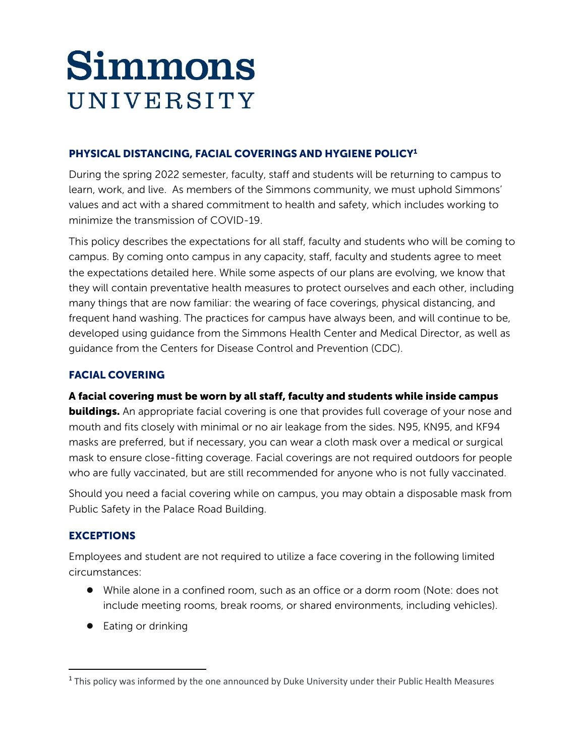# Simmons UNIVERSITY

# PHYSICAL DISTANCING, FACIAL COVERINGS AND HYGIENE POLICY<sup>1</sup>

During the spring 2022 semester, faculty, staff and students will be returning to campus to learn, work, and live. As members of the Simmons community, we must uphold Simmons' values and act with a shared commitment to health and safety, which includes working to minimize the transmission of COVID-19.

This policy describes the expectations for all staff, faculty and students who will be coming to campus. By coming onto campus in any capacity, staff, faculty and students agree to meet the expectations detailed here. While some aspects of our plans are evolving, we know that they will contain preventative health measures to protect ourselves and each other, including many things that are now familiar: the wearing of face coverings, physical distancing, and frequent hand washing. The practices for campus have always been, and will continue to be, developed using guidance from the Simmons Health Center and Medical Director, as well as guidance from the Centers for Disease Control and Prevention (CDC).

# FACIAL COVERING

## A facial covering must be worn by all staff, faculty and students while inside campus

**buildings.** An appropriate facial covering is one that provides full coverage of your nose and mouth and fits closely with minimal or no air leakage from the sides. N95, KN95, and KF94 masks are preferred, but if necessary, you can wear a cloth mask over a medical or surgical mask to ensure close-fitting coverage. Facial coverings are not required outdoors for people who are fully vaccinated, but are still recommended for anyone who is not fully vaccinated.

Should you need a facial covering while on campus, you may obtain a disposable mask from Public Safety in the Palace Road Building.

## **EXCEPTIONS**

Employees and student are not required to utilize a face covering in the following limited circumstances:

- While alone in a confined room, such as an office or a dorm room (Note: does not include meeting rooms, break rooms, or shared environments, including vehicles).
- Eating or drinking

<sup>&</sup>lt;sup>1</sup> This policy was informed by the one announced by Duke University under their Public Health Measures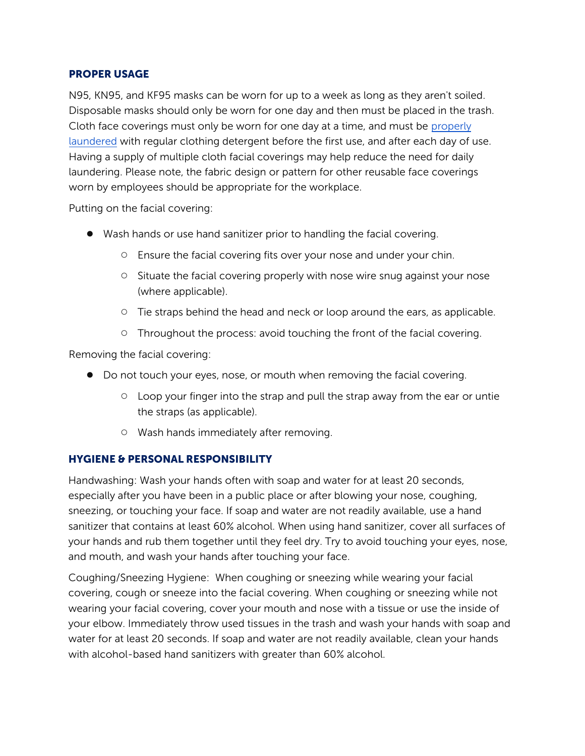#### PROPER USAGE

N95, KN95, and KF95 masks can be worn for up to a week as long as they aren't soiled. Disposable masks should only be worn for one day and then must be plac[ed in the trash.](https://www.cdc.gov/coronavirus/2019-ncov/prevent-getting-sick/diy-cloth-face-coverings.html)  [Cloth face](https://www.cdc.gov/coronavirus/2019-ncov/prevent-getting-sick/diy-cloth-face-coverings.html) coverings must only be worn for one day at a time, and must be properly laundered with regular clothing detergent before the first use, and after each day of use. Having a supply of multiple cloth facial coverings may help reduce the need for daily laundering. Please note, the fabric design or pattern for other reusable face coverings worn by employees should be appropriate for the workplace.

Putting on the facial covering:

- Wash hands or use hand sanitizer prior to handling the facial covering.
	- Ensure the facial covering fits over your nose and under your chin.
	- Situate the facial covering properly with nose wire snug against your nose (where applicable).
	- Tie straps behind the head and neck or loop around the ears, as applicable.
	- Throughout the process: avoid touching the front of the facial covering.

Removing the facial covering:

- Do not touch your eyes, nose, or mouth when removing the facial covering.
	- Loop your finger into the strap and pull the strap away from the ear or untie the straps (as applicable).
	- Wash hands immediately after removing.

## HYGIENE & PERSONAL RESPONSIBILITY

Handwashing: Wash your hands often with soap and water for at least 20 seconds, especially after you have been in a public place or after blowing your nose, coughing, sneezing, or touching your face. If soap and water are not readily available, use a hand sanitizer that contains at least 60% alcohol. When using hand sanitizer, cover all surfaces of your hands and rub them together until they feel dry. Try to avoid touching your eyes, nose, and mouth, and wash your hands after touching your face.

Coughing/Sneezing Hygiene: When coughing or sneezing while wearing your facial covering, cough or sneeze into the facial covering. When coughing or sneezing while not wearing your facial covering, cover your mouth and nose with a tissue or use the inside of your elbow. Immediately throw used tissues in the trash and wash your hands with soap and water for at least 20 seconds. If soap and water are not readily available, clean your hands with alcohol-based hand sanitizers with greater than 60% alcohol.